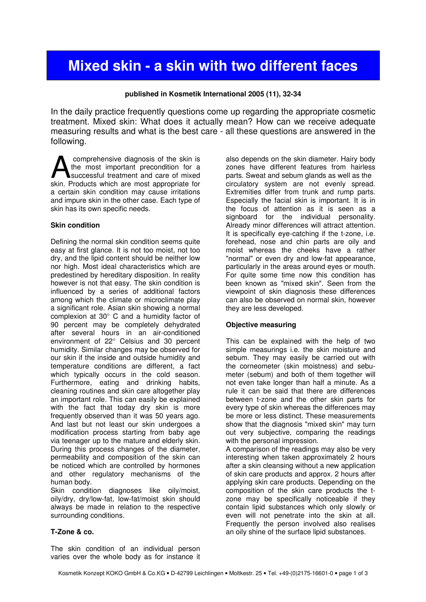# Mixed skin - a skin with two different faces

## published in Kosmetik International 2005 (11), 32-34

In the daily practice frequently questions come up regarding the appropriate cosmetic treatment. Mixed skin: What does it actually mean? How can we receive adequate measuring results and what is the best care - all these questions are answered in the following.

 comprehensive diagnosis of the skin is the most important precondition for a successful treatment and care of mixed comprehensive diagnosis of the skin is<br>the most important precondition for a<br>skin. Products which are most appropriate for a certain skin condition may cause irritations and impure skin in the other case. Each type of skin has its own specific needs.

### Skin condition

Defining the normal skin condition seems quite easy at first glance. It is not too moist, not too dry, and the lipid content should be neither low nor high. Most ideal characteristics which are predestined by hereditary disposition. In reality however is not that easy. The skin condition is influenced by a series of additional factors among which the climate or microclimate play a significant role. Asian skin showing a normal complexion at 30° C and a humidity factor of 90 percent may be completely dehydrated after several hours in an air-conditioned environment of 22° Celsius and 30 percent humidity. Similar changes may be observed for our skin if the inside and outside humidity and temperature conditions are different, a fact which typically occurs in the cold season. Furthermore, eating and drinking habits, cleaning routines and skin care altogether play an important role. This can easily be explained with the fact that today dry skin is more frequently observed than it was 50 years ago. And last but not least our skin undergoes a modification process starting from baby age via teenager up to the mature and elderly skin. During this process changes of the diameter, permeability and composition of the skin can be noticed which are controlled by hormones and other regulatory mechanisms of the human body.

Skin condition diagnoses like oily/moist, oily/dry, dry/low-fat, low-fat/moist skin should always be made in relation to the respective surrounding conditions.

## T-Zone & co.

The skin condition of an individual person varies over the whole body as for instance it also depends on the skin diameter. Hairy body zones have different features from hairless parts. Sweat and sebum glands as well as the circulatory system are not evenly spread. Extremities differ from trunk and rump parts. Especially the facial skin is important. It is in the focus of attention as it is seen as a signboard for the individual personality. Already minor differences will attract attention. It is specifically eye-catching if the t-zone, i.e. forehead, nose and chin parts are oily and moist whereas the cheeks have a rather "normal" or even dry and low-fat appearance, particularly in the areas around eyes or mouth. For quite some time now this condition has been known as "mixed skin". Seen from the viewpoint of skin diagnosis these differences can also be observed on normal skin, however they are less developed.

## Objective measuring

This can be explained with the help of two simple measurings i.e. the skin moisture and sebum. They may easily be carried out with the corneometer (skin moistness) and sebumeter (sebum) and both of them together will not even take longer than half a minute. As a rule it can be said that there are differences between t-zone and the other skin parts for every type of skin whereas the differences may be more or less distinct. These measurements show that the diagnosis "mixed skin" may turn out very subjective, comparing the readings with the personal impression.

A comparison of the readings may also be very interesting when taken approximately 2 hours after a skin cleansing without a new application of skin care products and approx. 2 hours after applying skin care products. Depending on the composition of the skin care products the tzone may be specifically noticeable if they contain lipid substances which only slowly or even will not penetrate into the skin at all. Frequently the person involved also realises an oily shine of the surface lipid substances.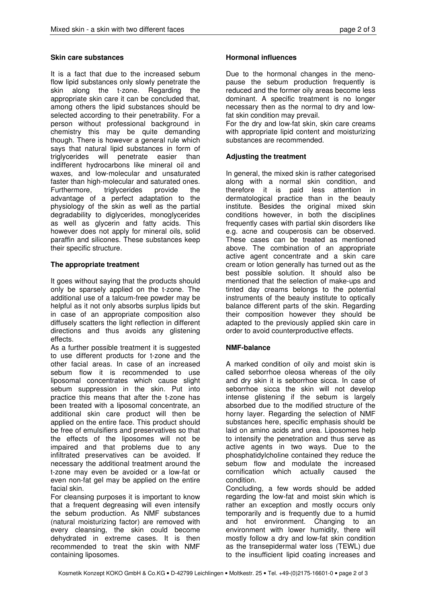### Skin care substances

It is a fact that due to the increased sebum flow lipid substances only slowly penetrate the skin along the t-zone. Regarding the appropriate skin care it can be concluded that, among others the lipid substances should be selected according to their penetrability. For a person without professional background in chemistry this may be quite demanding though. There is however a general rule which says that natural lipid substances in form of triglycerides will penetrate easier than indifferent hydrocarbons like mineral oil and waxes, and low-molecular and unsaturated faster than high-molecular and saturated ones. Furthermore, triglycerides provide the advantage of a perfect adaptation to the physiology of the skin as well as the partial degradability to diglycerides, monoglycerides as well as glycerin and fatty acids. This however does not apply for mineral oils, solid paraffin and silicones. These substances keep their specific structure.

## The appropriate treatment

It goes without saying that the products should only be sparsely applied on the t-zone. The additional use of a talcum-free powder may be helpful as it not only absorbs surplus lipids but in case of an appropriate composition also diffusely scatters the light reflection in different directions and thus avoids any glistening effects.

As a further possible treatment it is suggested to use different products for t-zone and the other facial areas. In case of an increased sebum flow it is recommended to use liposomal concentrates which cause slight sebum suppression in the skin. Put into practice this means that after the t-zone has been treated with a liposomal concentrate, an additional skin care product will then be applied on the entire face. This product should be free of emulsifiers and preservatives so that the effects of the liposomes will not be impaired and that problems due to any infiltrated preservatives can be avoided. If necessary the additional treatment around the t-zone may even be avoided or a low-fat or even non-fat gel may be applied on the entire facial skin.

For cleansing purposes it is important to know that a frequent degreasing will even intensify the sebum production. As NMF substances (natural moisturizing factor) are removed with every cleansing, the skin could become dehydrated in extreme cases. It is then recommended to treat the skin with NMF containing liposomes.

### Hormonal influences

Due to the hormonal changes in the menopause the sebum production frequently is reduced and the former oily areas become less dominant. A specific treatment is no longer necessary then as the normal to dry and lowfat skin condition may prevail.

For the dry and low-fat skin, skin care creams with appropriate lipid content and moisturizing substances are recommended.

## Adjusting the treatment

In general, the mixed skin is rather categorised along with a normal skin condition, and therefore it is paid less attention in dermatological practice than in the beauty institute. Besides the original mixed skin conditions however, in both the disciplines frequently cases with partial skin disorders like e.g. acne and couperosis can be observed. These cases can be treated as mentioned above. The combination of an appropriate active agent concentrate and a skin care cream or lotion generally has turned out as the best possible solution. It should also be mentioned that the selection of make-ups and tinted day creams belongs to the potential instruments of the beauty institute to optically balance different parts of the skin. Regarding their composition however they should be adapted to the previously applied skin care in order to avoid counterproductive effects.

## NMF-balance

A marked condition of oily and moist skin is called seborrhoe oleosa whereas of the oily and dry skin it is seborrhoe sicca. In case of seborrhoe sicca the skin will not develop intense glistening if the sebum is largely absorbed due to the modified structure of the horny layer. Regarding the selection of NMF substances here, specific emphasis should be laid on amino acids and urea. Liposomes help to intensify the penetration and thus serve as active agents in two ways. Due to the phosphatidylcholine contained they reduce the sebum flow and modulate the increased cornification which actually caused the condition.

Concluding, a few words should be added regarding the low-fat and moist skin which is rather an exception and mostly occurs only temporarily and is frequently due to a humid and hot environment. Changing to an environment with lower humidity, there will mostly follow a dry and low-fat skin condition as the transepidermal water loss (TEWL) due to the insufficient lipid coating increases and